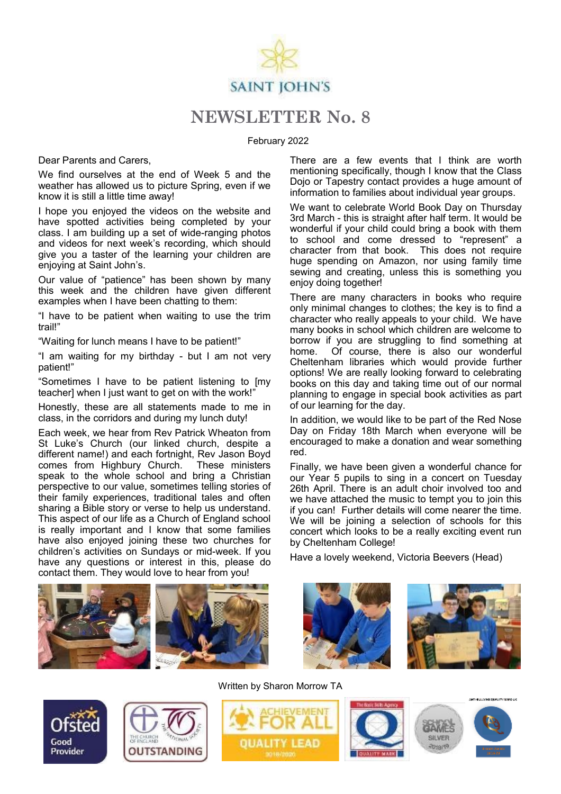

## **NEWSLETTER No. 8**

February 2022

Dear Parents and Carers,

We find ourselves at the end of Week 5 and the weather has allowed us to picture Spring, even if we know it is still a little time away!

I hope you enjoyed the videos on the website and have spotted activities being completed by your class. I am building up a set of wide-ranging photos and videos for next week's recording, which should give you a taster of the learning your children are enjoying at Saint John's.

Our value of "patience" has been shown by many this week and the children have given different examples when I have been chatting to them:

"I have to be patient when waiting to use the trim trail!"

"Waiting for lunch means I have to be patient!"

"I am waiting for my birthday - but I am not very patient!"

"Sometimes I have to be patient listening to [my teacher] when I just want to get on with the work!"

Honestly, these are all statements made to me in class, in the corridors and during my lunch duty!

Each week, we hear from Rev Patrick Wheaton from St Luke's Church (our linked church, despite a different name!) and each fortnight, Rev Jason Boyd comes from Highbury Church. These ministers speak to the whole school and bring a Christian perspective to our value, sometimes telling stories of their family experiences, traditional tales and often sharing a Bible story or verse to help us understand. This aspect of our life as a Church of England school is really important and I know that some families have also enjoyed joining these two churches for children's activities on Sundays or mid-week. If you have any questions or interest in this, please do contact them. They would love to hear from you!

There are a few events that I think are worth mentioning specifically, though I know that the Class Dojo or Tapestry contact provides a huge amount of information to families about individual year groups.

We want to celebrate World Book Day on Thursday 3rd March - this is straight after half term. It would be wonderful if your child could bring a book with them to school and come dressed to "represent" a character from that book. This does not require huge spending on Amazon, nor using family time sewing and creating, unless this is something you enjoy doing together!

There are many characters in books who require only minimal changes to clothes; the key is to find a character who really appeals to your child. We have many books in school which children are welcome to borrow if you are struggling to find something at home. Of course, there is also our wonderful Cheltenham libraries which would provide further options! We are really looking forward to celebrating books on this day and taking time out of our normal planning to engage in special book activities as part of our learning for the day.

In addition, we would like to be part of the Red Nose Day on Friday 18th March when everyone will be encouraged to make a donation and wear something red.

Finally, we have been given a wonderful chance for our Year 5 pupils to sing in a concert on Tuesday 26th April. There is an adult choir involved too and we have attached the music to tempt you to join this if you can! Further details will come nearer the time. We will be joining a selection of schools for this concert which looks to be a really exciting event run by Cheltenham College!

Have a lovely weekend, Victoria Beevers (Head)







Written by Sharon Morrow TA



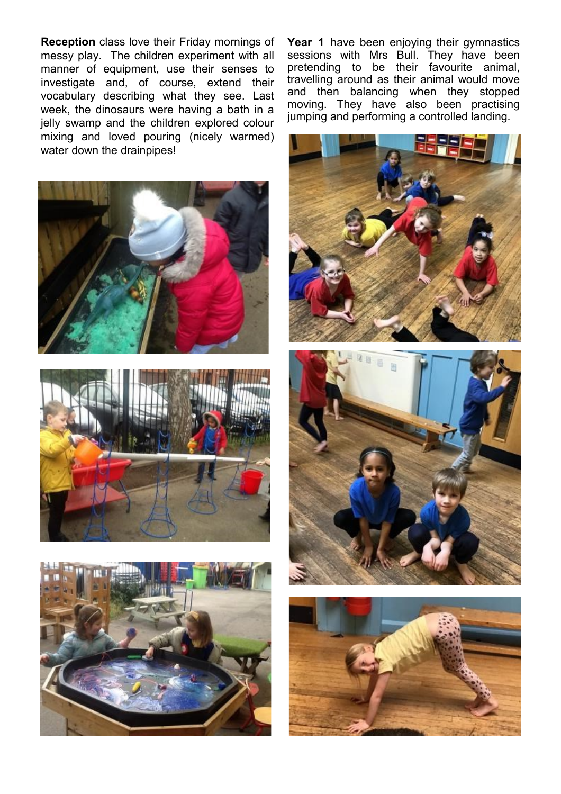**Reception** class love their Friday mornings of messy play. The children experiment with all manner of equipment, use their senses to investigate and, of course, extend their vocabulary describing what they see. Last week, the dinosaurs were having a bath in a jelly swamp and the children explored colour mixing and loved pouring (nicely warmed) water down the drainpipes!







**Year 1** have been enjoying their gymnastics sessions with Mrs Bull. They have been pretending to be their favourite animal, travelling around as their animal would move and then balancing when they stopped moving. They have also been practising jumping and performing a controlled landing.



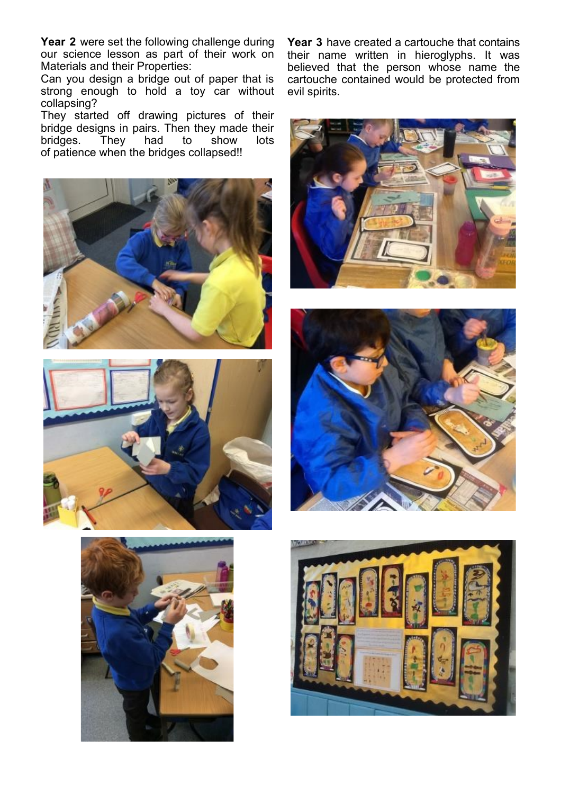**Year 2** were set the following challenge during our science lesson as part of their work on Materials and their Properties:

Can you design a bridge out of paper that is strong enough to hold a toy car without collapsing?

They started off drawing pictures of their bridge designs in pairs. Then they made their<br>bridges. They had to show lots  $They$  had to of patience when the bridges collapsed!!





**Year 3** have created a cartouche that contains their name written in hieroglyphs. It was believed that the person whose name the cartouche contained would be protected from evil spirits.





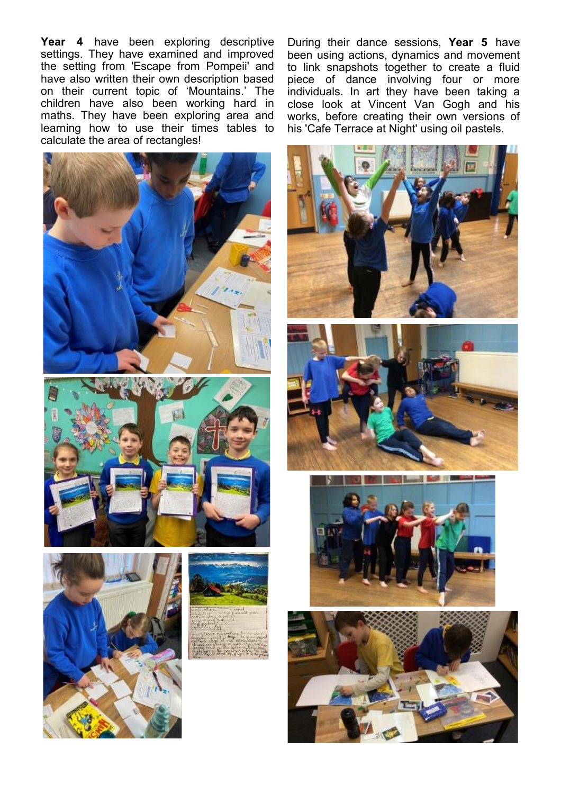**Year 4** have been exploring descriptive settings. They have examined and improved the setting from 'Escape from Pompeii' and have also written their own description based on their current topic of 'Mountains.' The children have also been working hard in maths. They have been exploring area and learning how to use their times tables to calculate the area of rectangles!







During their dance sessions, **Year 5** have been using actions, dynamics and movement to link snapshots together to create a fluid piece of dance involving four or more individuals. In art they have been taking a close look at Vincent Van Gogh and his works, before creating their own versions of his 'Cafe Terrace at Night' using oil pastels.







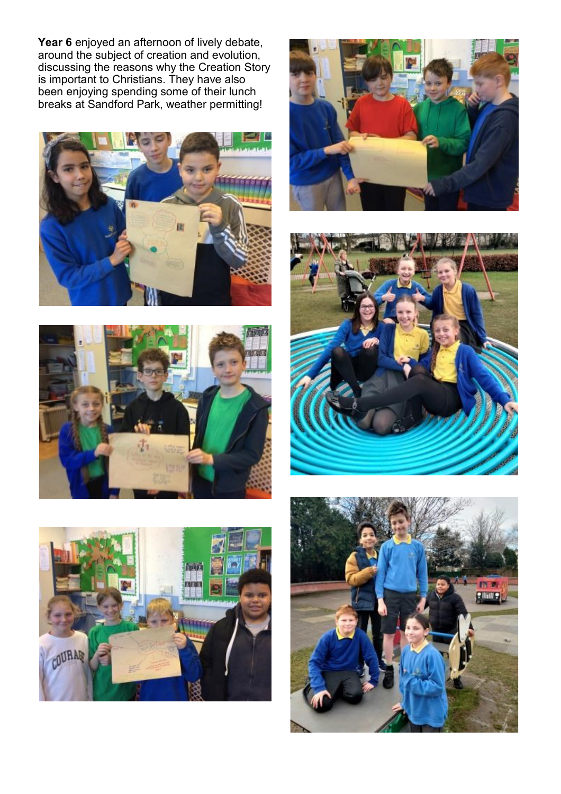**Year 6** enjoyed an afternoon of lively debate, around the subject of creation and evolution, discussing the reasons why the Creation Story is important to Christians. They have also been enjoying spending some of their lunch breaks at Sandford Park, weather permitting!